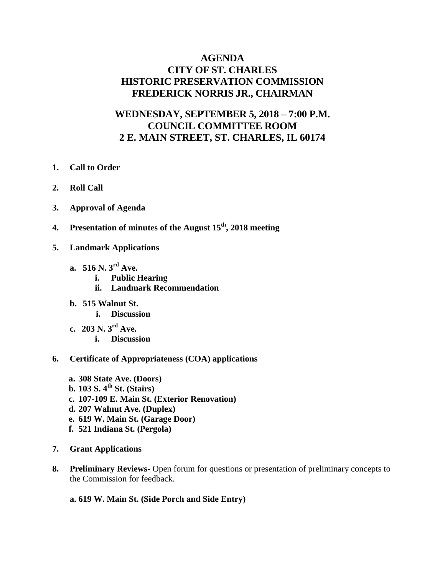## **AGENDA CITY OF ST. CHARLES HISTORIC PRESERVATION COMMISSION FREDERICK NORRIS JR., CHAIRMAN**

# **WEDNESDAY, SEPTEMBER 5, 2018 – 7:00 P.M. COUNCIL COMMITTEE ROOM 2 E. MAIN STREET, ST. CHARLES, IL 60174**

- **1. Call to Order**
- **2. Roll Call**
- **3. Approval of Agenda**
- **4. Presentation of minutes of the August 15th, 2018 meeting**
- **5. Landmark Applications** 
	- **a. 516 N. 3rd Ave.** 
		- **i. Public Hearing**
		- **ii. Landmark Recommendation**
	- **b. 515 Walnut St.** 
		- **i. Discussion**
	- **c. 203 N. 3rd Ave. i. Discussion**
- **6. Certificate of Appropriateness (COA) applications**
	- **a. 308 State Ave. (Doors) b. 103 S. 4 th St. (Stairs) c. 107-109 E. Main St. (Exterior Renovation) d. 207 Walnut Ave. (Duplex) e. 619 W. Main St. (Garage Door) f. 521 Indiana St. (Pergola)**
- **7. Grant Applications**
- **8. Preliminary Reviews-** Open forum for questions or presentation of preliminary concepts to the Commission for feedback.
	- **a. 619 W. Main St. (Side Porch and Side Entry)**